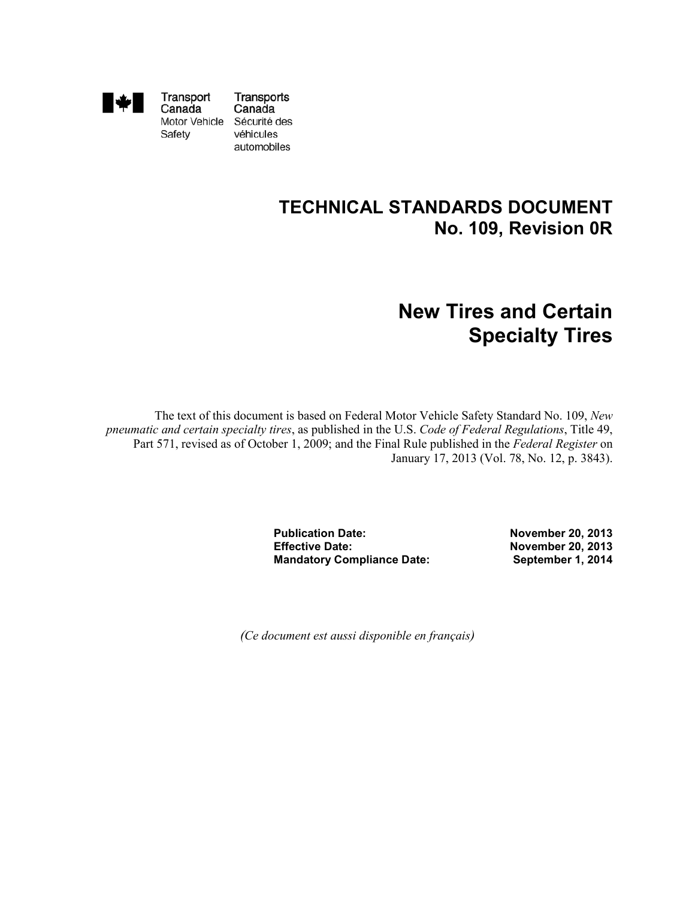

Transport Canada Motor Vehicle Sécurité des Safety

Transports Canada véhicules automobiles

## **TECHNICAL STANDARDS DOCUMENT No. 109, Revision 0R**

# **New Tires and Certain Specialty Tires**

The text of this document is based on Federal Motor Vehicle Safety Standard No. 109, *New pneumatic and certain specialty tires*, as published in the U.S. *Code of Federal Regulations*, Title 49, Part 571, revised as of October 1, 2009; and the Final Rule published in the *Federal Register* on January 17, 2013 (Vol. 78, No. 12, p. 3843).

> **Publication Date: Effective Date: Mandatory Compliance Date:**

**November 20, 2013 November 20, 2013 September 1, 2014**

*(Ce document est aussi disponible en français)*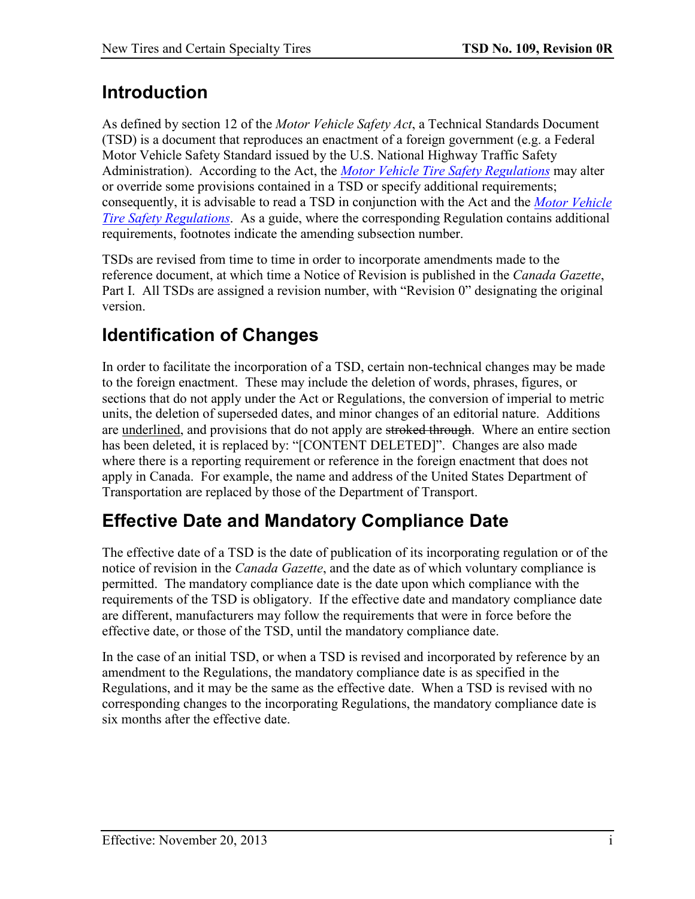## **Introduction**

As defined by section 12 of the *Motor Vehicle Safety Act*, a Technical Standards Document (TSD) is a document that reproduces an enactment of a foreign government (e.g. a Federal Motor Vehicle Safety Standard issued by the U.S. National Highway Traffic Safety Administration). According to the Act, the *[Motor Vehicle Tire Safety Regulations](http://laws.justice.gc.ca/eng/regulations/SOR-2013-198/)* may alter or override some provisions contained in a TSD or specify additional requirements; consequently, it is advisable to read a TSD in conjunction with the Act and the *Motor [Vehicle](http://laws.justice.gc.ca/eng/regulations/SOR-2013-198/)  Tire [Safety Regulations](http://laws.justice.gc.ca/eng/regulations/SOR-2013-198/)*. As a guide, where the corresponding Regulation contains additional requirements, footnotes indicate the amending subsection number.

TSDs are revised from time to time in order to incorporate amendments made to the reference document, at which time a Notice of Revision is published in the *Canada Gazette*, Part I. All TSDs are assigned a revision number, with "Revision 0" designating the original version.

# **Identification of Changes**

In order to facilitate the incorporation of a TSD, certain non-technical changes may be made to the foreign enactment. These may include the deletion of words, phrases, figures, or sections that do not apply under the Act or Regulations, the conversion of imperial to metric units, the deletion of superseded dates, and minor changes of an editorial nature. Additions are underlined, and provisions that do not apply are stroked through. Where an entire section has been deleted, it is replaced by: "[CONTENT DELETED]". Changes are also made where there is a reporting requirement or reference in the foreign enactment that does not apply in Canada. For example, the name and address of the United States Department of Transportation are replaced by those of the Department of Transport.

# **Effective Date and Mandatory Compliance Date**

The effective date of a TSD is the date of publication of its incorporating regulation or of the notice of revision in the *Canada Gazette*, and the date as of which voluntary compliance is permitted. The mandatory compliance date is the date upon which compliance with the requirements of the TSD is obligatory. If the effective date and mandatory compliance date are different, manufacturers may follow the requirements that were in force before the effective date, or those of the TSD, until the mandatory compliance date.

In the case of an initial TSD, or when a TSD is revised and incorporated by reference by an amendment to the Regulations, the mandatory compliance date is as specified in the Regulations, and it may be the same as the effective date. When a TSD is revised with no corresponding changes to the incorporating Regulations, the mandatory compliance date is six months after the effective date.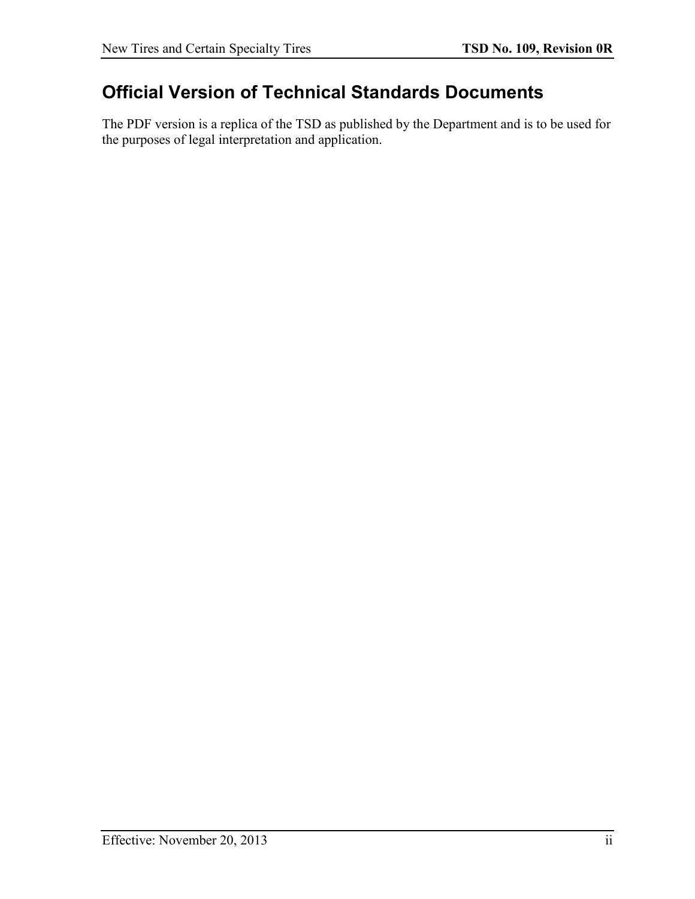## **Official Version of Technical Standards Documents**

The PDF version is a replica of the TSD as published by the Department and is to be used for the purposes of legal interpretation and application.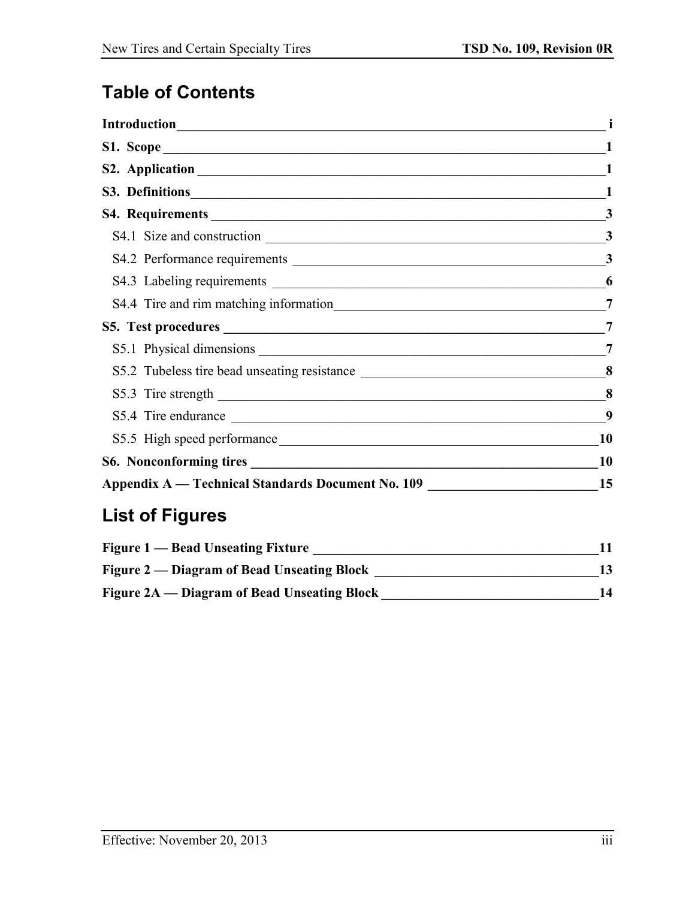# **Table of Contents**

|                                                                                   | 3         |
|-----------------------------------------------------------------------------------|-----------|
|                                                                                   | 3         |
|                                                                                   | 3         |
|                                                                                   | 6         |
|                                                                                   | 7         |
|                                                                                   | 7         |
|                                                                                   | 7         |
| S5.2 Tubeless tire bead unseating resistance ___________________________________  | 8         |
|                                                                                   | 8         |
|                                                                                   | 9         |
| S5.5 High speed performance                                                       | <b>10</b> |
|                                                                                   | 10        |
| Appendix A — Technical Standards Document No. 109 _______________________________ | 15        |

# **List of Figures**

| <b>Figure 1 — Bead Unseating Fixture</b>    |    |
|---------------------------------------------|----|
| Figure 2 — Diagram of Bead Unseating Block  |    |
| Figure 2A — Diagram of Bead Unseating Block | 14 |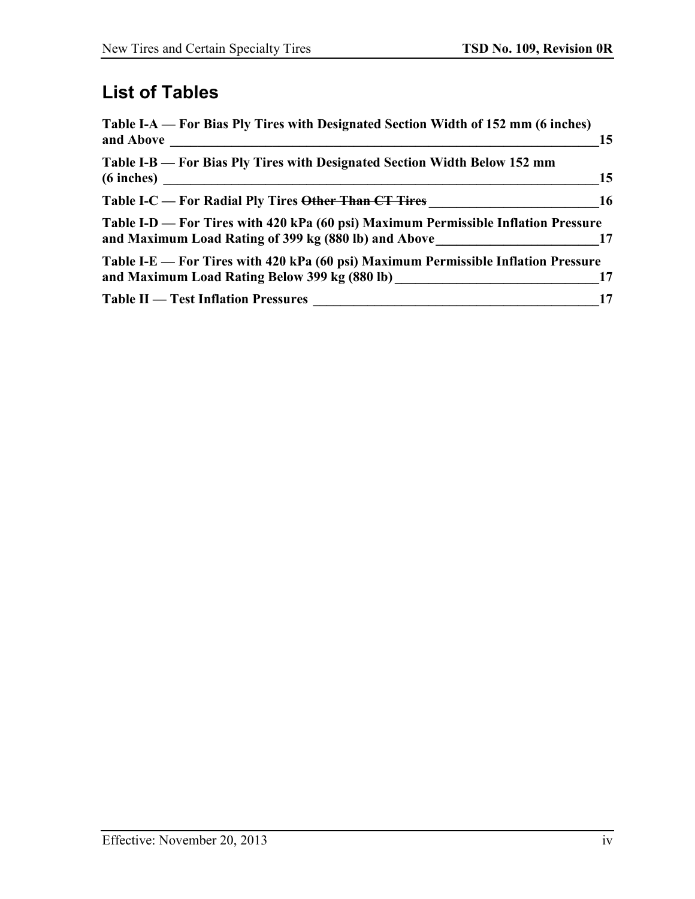# **List of Tables**

| Table I-A — For Bias Ply Tires with Designated Section Width of 152 mm (6 inches)<br>and Above                                             | 15        |
|--------------------------------------------------------------------------------------------------------------------------------------------|-----------|
| Table I-B — For Bias Ply Tires with Designated Section Width Below 152 mm<br>$(6$ inches $)$                                               | 15        |
| Table I-C — For Radial Ply Tires <del>Other Than CT Tires</del>                                                                            | <b>16</b> |
| Table I-D — For Tires with 420 kPa (60 psi) Maximum Permissible Inflation Pressure<br>and Maximum Load Rating of 399 kg (880 lb) and Above |           |
| Table I-E — For Tires with 420 kPa (60 psi) Maximum Permissible Inflation Pressure<br>and Maximum Load Rating Below 399 kg (880 lb)        | 17        |
| <b>Table II — Test Inflation Pressures</b>                                                                                                 | 17        |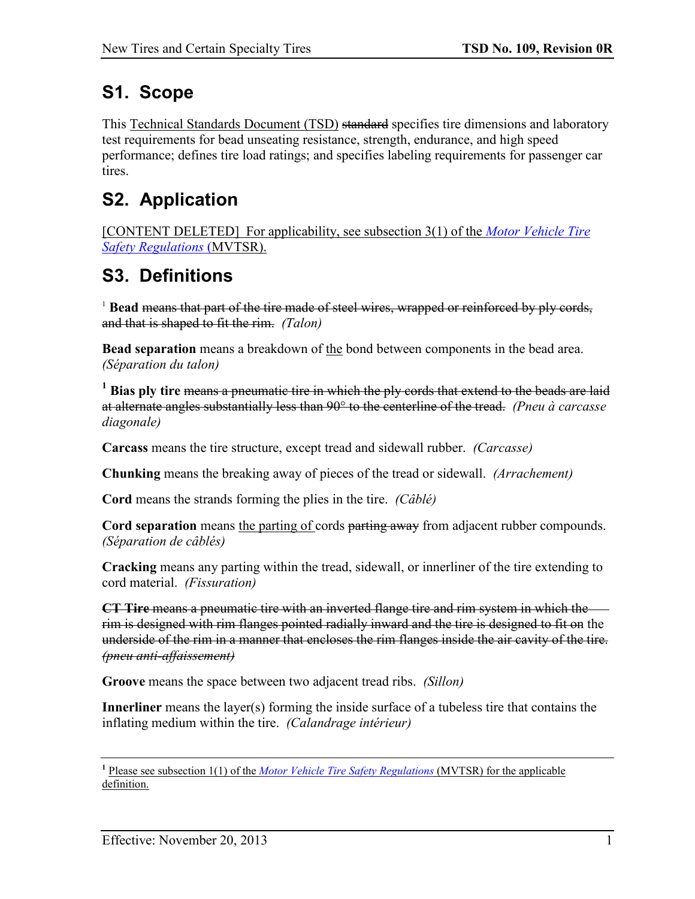# <span id="page-5-0"></span>**S1. Scope**

This Technical Standards Document (TSD) standard specifies tire dimensions and laboratory test requirements for bead unseating resistance, strength, endurance, and high speed performance; defines tire load ratings; and specifies labeling requirements for passenger car tires.

# <span id="page-5-1"></span>**S2. Application**

[CONTENT DELETED] For applicability, see subsection 3(1) of the *[Motor Vehicle Tire](http://laws.justice.gc.ca/eng/regulations/SOR-2013-198/)  [Safety Regulations](http://laws.justice.gc.ca/eng/regulations/SOR-2013-198/)* (MVTSR).

# <span id="page-5-2"></span>**S3. Definitions**

<sup>1</sup> Bead means that part of the tire made of steel wires, wrapped or reinforced by ply cords, and that is shaped to fit the rim. *(Talon)*

**Bead separation** means a breakdown of the bond between components in the bead area. *(Séparation du talon)*

**<sup>1</sup> Bias ply tire** means a pneumatic tire in which the ply cords that extend to the beads are laid at alternate angles substantially less than 90° to the centerline of the tread. *(Pneu à carcasse diagonale)*

**Carcass** means the tire structure, except tread and sidewall rubber. *(Carcasse)*

**Chunking** means the breaking away of pieces of the tread or sidewall. *(Arrachement)*

**Cord** means the strands forming the plies in the tire. *(Câblé)*

**Cord separation** means the parting of cords parting away from adjacent rubber compounds. *(Séparation de câblés)*

**Cracking** means any parting within the tread, sidewall, or innerliner of the tire extending to cord material. *(Fissuration)*

**CT Tire** means a pneumatic tire with an inverted flange tire and rim system in which the rim is designed with rim flanges pointed radially inward and the tire is designed to fit on the underside of the rim in a manner that encloses the rim flanges inside the air cavity of the tire. *(pneu anti-affaissement)*

**Groove** means the space between two adjacent tread ribs. *(Sillon)*

**Innerliner** means the layer(s) forming the inside surface of a tubeless tire that contains the inflating medium within the tire. *(Calandrage intérieur)*

**<sup>1</sup>** Please see subsection 1(1) of the *[Motor Vehicle Tire Safety Regulations](http://laws.justice.gc.ca/eng/regulations/SOR-2013-198/)* (MVTSR) for the applicable definition.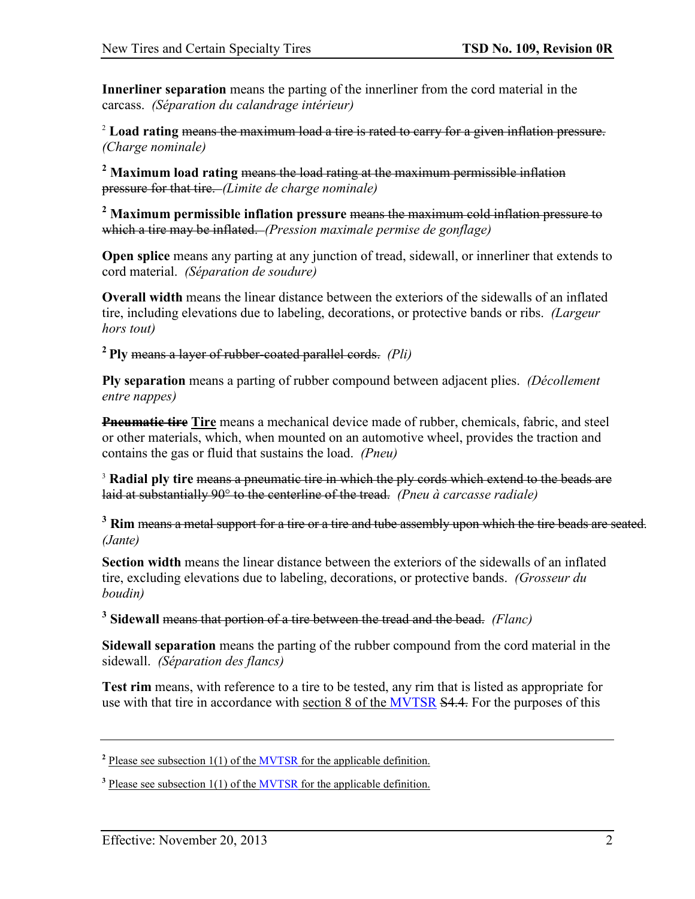**Innerliner separation** means the parting of the innerliner from the cord material in the carcass. *(Séparation du calandrage intérieur)*

<sup>2</sup> **Load rating** means the maximum load a tire is rated to carry for a given inflation pressure. *(Charge nominale)*

**<sup>2</sup> Maximum load rating** means the load rating at the maximum permissible inflation pressure for that tire. *(Limite de charge nominale)*

**<sup>2</sup> Maximum permissible inflation pressure** means the maximum cold inflation pressure to which a tire may be inflated. *(Pression maximale permise de gonflage)*

**Open splice** means any parting at any junction of tread, sidewall, or innerliner that extends to cord material. *(Séparation de soudure)*

**Overall width** means the linear distance between the exteriors of the sidewalls of an inflated tire, including elevations due to labeling, decorations, or protective bands or ribs. *(Largeur hors tout)*

**2 Ply** means a layer of rubber-coated parallel cords. *(Pli)*

**Ply separation** means a parting of rubber compound between adjacent plies. *(Décollement entre nappes)*

**Pneumatic tire Tire** means a mechanical device made of rubber, chemicals, fabric, and steel or other materials, which, when mounted on an automotive wheel, provides the traction and contains the gas or fluid that sustains the load. *(Pneu)*

<sup>3</sup> Radial ply tire means a pneumatic tire in which the ply cords which extend to the beads are laid at substantially 90° to the centerline of the tread. *(Pneu à carcasse radiale)*

<sup>3</sup> Rim means a metal support for a tire or a tire and tube assembly upon which the tire beads are seated. *(Jante)*

**Section width** means the linear distance between the exteriors of the sidewalls of an inflated tire, excluding elevations due to labeling, decorations, or protective bands. *(Grosseur du boudin)*

**<sup>3</sup> Sidewall** means that portion of a tire between the tread and the bead. *(Flanc)*

**Sidewall separation** means the parting of the rubber compound from the cord material in the sidewall. *(Séparation des flancs)*

**Test rim** means, with reference to a tire to be tested, any rim that is listed as appropriate for use with that tire in accordance with section 8 of the [MVTSR](http://laws.justice.gc.ca/eng/regulations/SOR-2013-198/) S4.4. For the purposes of this

<sup>&</sup>lt;sup>2</sup> Please see subsection 1(1) of the **MVTSR** for the applicable definition.

<sup>&</sup>lt;sup>3</sup> Please see subsection 1(1) of the **MVTSR** for the applicable definition.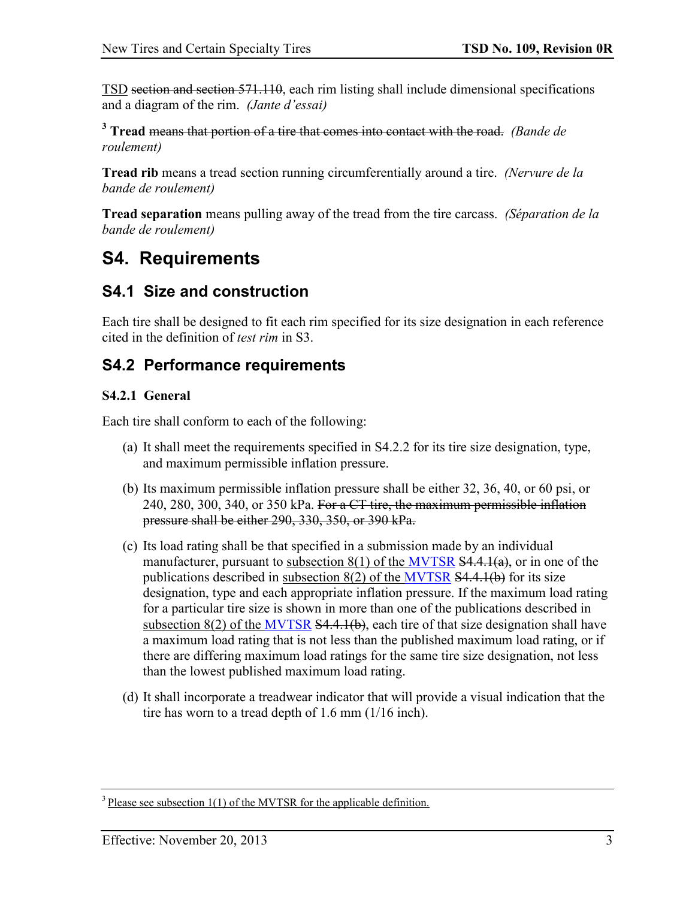TSD section and section 571.110, each rim listing shall include dimensional specifications and a diagram of the rim. *(Jante d'essai)*

**<sup>3</sup> Tread** means that portion of a tire that comes into contact with the road. *(Bande de roulement)*

**Tread rib** means a tread section running circumferentially around a tire. *(Nervure de la bande de roulement)*

**Tread separation** means pulling away of the tread from the tire carcass. *(Séparation de la bande de roulement)*

## <span id="page-7-0"></span>**S4. Requirements**

## <span id="page-7-1"></span>**S4.1 Size and construction**

Each tire shall be designed to fit each rim specified for its size designation in each reference cited in the definition of *test rim* in S3.

## <span id="page-7-2"></span>**S4.2 Performance requirements**

### **S4.2.1 General**

Each tire shall conform to each of the following:

- (a) It shall meet the requirements specified in S4.2.2 for its tire size designation, type, and maximum permissible inflation pressure.
- (b) Its maximum permissible inflation pressure shall be either 32, 36, 40, or 60 psi, or 240, 280, 300, 340, or 350 kPa. For a  $CT$  tire, the maximum permissible inflation pressure shall be either 290, 330, 350, or 390 kPa.
- (c) Its load rating shall be that specified in a submission made by an individual manufacturer, pursuant to subsection  $8(1)$  of the [MVTSR](http://laws.justice.gc.ca/eng/regulations/SOR-2013-198/)  $54.4.1(a)$ , or in one of the publications described in subsection  $8(2)$  of the [MVTSR](http://laws.justice.gc.ca/eng/regulations/SOR-2013-198/)  $$4,4,1(b)$  for its size designation, type and each appropriate inflation pressure. If the maximum load rating for a particular tire size is shown in more than one of the publications described in subsection  $8(2)$  of the [MVTSR](http://laws.justice.gc.ca/eng/regulations/SOR-2013-198/)  $$4.4.1(b)$ , each tire of that size designation shall have a maximum load rating that is not less than the published maximum load rating, or if there are differing maximum load ratings for the same tire size designation, not less than the lowest published maximum load rating.
- (d) It shall incorporate a treadwear indicator that will provide a visual indication that the tire has worn to a tread depth of 1.6 mm (1/16 inch).

 $3$  Please see subsection 1(1) of the MVTSR for the applicable definition.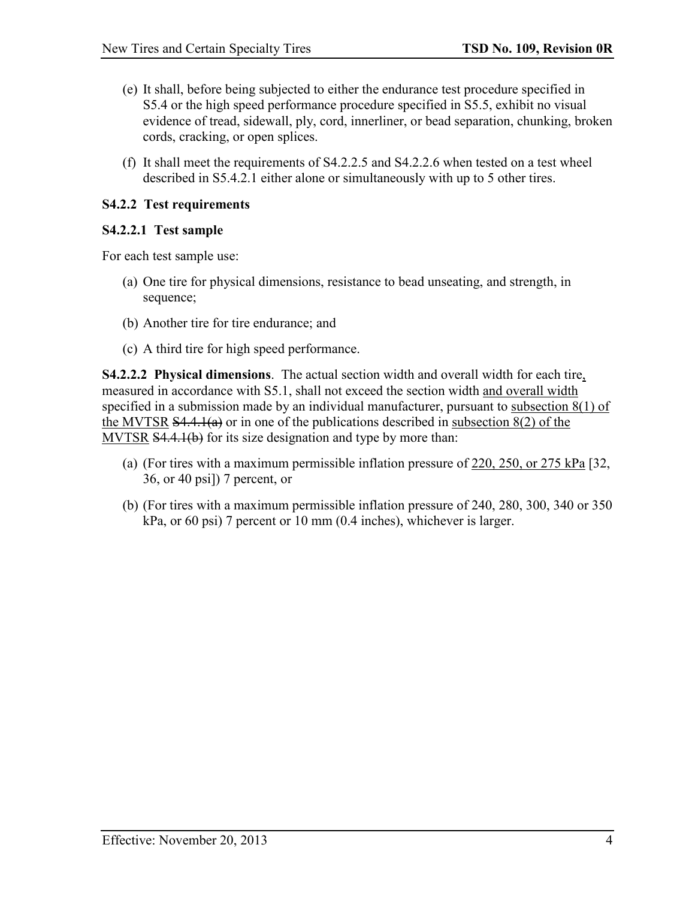- (e) It shall, before being subjected to either the endurance test procedure specified in S5.4 or the high speed performance procedure specified in S5.5, exhibit no visual evidence of tread, sidewall, ply, cord, innerliner, or bead separation, chunking, broken cords, cracking, or open splices.
- (f) It shall meet the requirements of S4.2.2.5 and S4.2.2.6 when tested on a test wheel described in S5.4.2.1 either alone or simultaneously with up to 5 other tires.

### **S4.2.2 Test requirements**

### **S4.2.2.1 Test sample**

For each test sample use:

- (a) One tire for physical dimensions, resistance to bead unseating, and strength, in sequence;
- (b) Another tire for tire endurance; and
- (c) A third tire for high speed performance.

**S4.2.2.2 Physical dimensions**. The actual section width and overall width for each tire, measured in accordance with S5.1, shall not exceed the section width and overall width specified in a submission made by an individual manufacturer, pursuant to subsection 8(1) of the MVTSR  $\overline{S4.4.1(a)}$  or in one of the publications described in subsection  $8(2)$  of the MVTSR S4.4.1(b) for its size designation and type by more than:

- (a) (For tires with a maximum permissible inflation pressure of 220, 250, or 275 kPa [32, 36, or 40 psi]) 7 percent, or
- (b) (For tires with a maximum permissible inflation pressure of 240, 280, 300, 340 or 350 kPa, or 60 psi) 7 percent or 10 mm (0.4 inches), whichever is larger.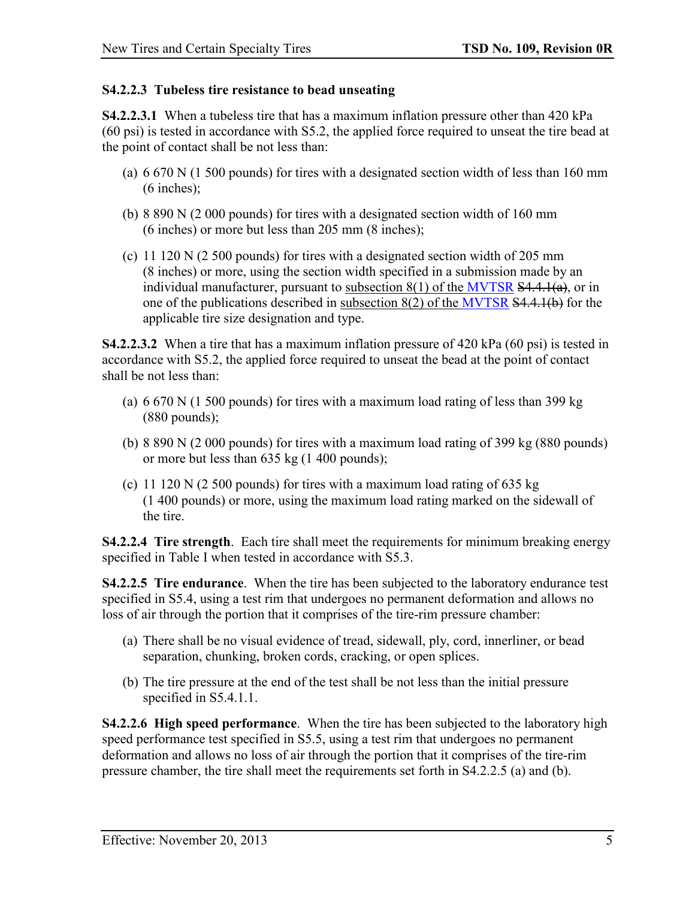### **S4.2.2.3 Tubeless tire resistance to bead unseating**

**S4.2.2.3.1** When a tubeless tire that has a maximum inflation pressure other than 420 kPa (60 psi) is tested in accordance with S5.2, the applied force required to unseat the tire bead at the point of contact shall be not less than:

- (a) 6 670 N (1 500 pounds) for tires with a designated section width of less than 160 mm (6 inches);
- (b) 8 890 N (2 000 pounds) for tires with a designated section width of 160 mm (6 inches) or more but less than 205 mm (8 inches);
- (c) 11 120 N (2 500 pounds) for tires with a designated section width of 205 mm (8 inches) or more, using the section width specified in a submission made by an individual manufacturer, pursuant to subsection  $8(1)$  of the [MVTSR](http://laws.justice.gc.ca/eng/regulations/SOR-2013-198/)  $\overline{S4.4.1(a)}$ , or in one of the publications described in subsection 8(2) of the [MVTSR](http://laws.justice.gc.ca/eng/regulations/SOR-2013-198/) S4.4.1(b) for the applicable tire size designation and type.

**S4.2.2.3.2** When a tire that has a maximum inflation pressure of 420 kPa (60 psi) is tested in accordance with S5.2, the applied force required to unseat the bead at the point of contact shall be not less than:

- (a) 6 670 N (1 500 pounds) for tires with a maximum load rating of less than 399 kg (880 pounds);
- (b) 8 890 N (2 000 pounds) for tires with a maximum load rating of 399 kg (880 pounds) or more but less than 635 kg (1 400 pounds);
- (c) 11 120 N (2 500 pounds) for tires with a maximum load rating of 635 kg (1 400 pounds) or more, using the maximum load rating marked on the sidewall of the tire.

**S4.2.2.4 Tire strength**. Each tire shall meet the requirements for minimum breaking energy specified in Table I when tested in accordance with S5.3.

**S4.2.2.5 Tire endurance**. When the tire has been subjected to the laboratory endurance test specified in S5.4, using a test rim that undergoes no permanent deformation and allows no loss of air through the portion that it comprises of the tire-rim pressure chamber:

- (a) There shall be no visual evidence of tread, sidewall, ply, cord, innerliner, or bead separation, chunking, broken cords, cracking, or open splices.
- (b) The tire pressure at the end of the test shall be not less than the initial pressure specified in S5.4.1.1.

**S4.2.2.6 High speed performance**. When the tire has been subjected to the laboratory high speed performance test specified in S5.5, using a test rim that undergoes no permanent deformation and allows no loss of air through the portion that it comprises of the tire-rim pressure chamber, the tire shall meet the requirements set forth in S4.2.2.5 (a) and (b).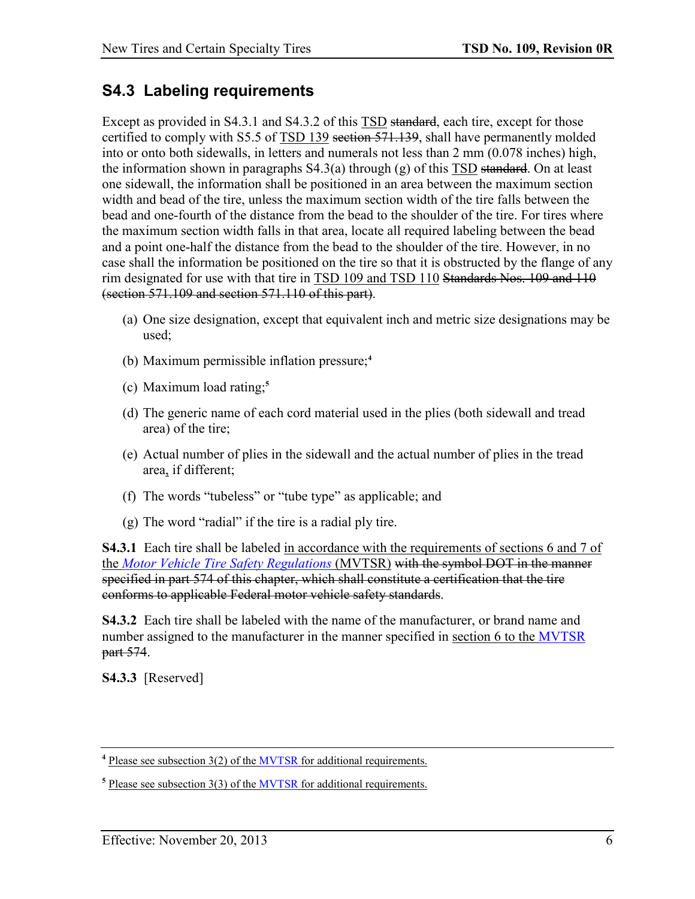## <span id="page-10-0"></span>**S4.3 Labeling requirements**

Except as provided in S4.3.1 and S4.3.2 of this TSD standard, each tire, except for those certified to comply with S5.5 of TSD 139 section 571.139, shall have permanently molded into or onto both sidewalls, in letters and numerals not less than 2 mm (0.078 inches) high, the information shown in paragraphs  $S4.3(a)$  through  $(g)$  of this  $\overline{ISD}$  standard. On at least one sidewall, the information shall be positioned in an area between the maximum section width and bead of the tire, unless the maximum section width of the tire falls between the bead and one-fourth of the distance from the bead to the shoulder of the tire. For tires where the maximum section width falls in that area, locate all required labeling between the bead and a point one-half the distance from the bead to the shoulder of the tire. However, in no case shall the information be positioned on the tire so that it is obstructed by the flange of any rim designated for use with that tire in TSD 109 and TSD 110 Standards Nos. 109 and 110 (section 571.109 and section 571.110 of this part).

- (a) One size designation, except that equivalent inch and metric size designations may be used;
- (b) Maximum permissible inflation pressure;**<sup>4</sup>**
- (c) Maximum load rating;**<sup>5</sup>**
- (d) The generic name of each cord material used in the plies (both sidewall and tread area) of the tire;
- (e) Actual number of plies in the sidewall and the actual number of plies in the tread area, if different;
- (f) The words "tubeless" or "tube type" as applicable; and
- (g) The word "radial" if the tire is a radial ply tire.

**S4.3.1** Each tire shall be labeled in accordance with the requirements of sections 6 and 7 of the *[Motor Vehicle Tire Safety Regulations](http://laws.justice.gc.ca/eng/regulations/SOR-2013-198/)* (MVTSR) with the symbol DOT in the manner specified in part 574 of this chapter, which shall constitute a certification that the tire conforms to applicable Federal motor vehicle safety standards.

**S4.3.2** Each tire shall be labeled with the name of the manufacturer, or brand name and number assigned to the manufacturer in the manner specified in section 6 to the [MVTSR](http://laws.justice.gc.ca/eng/regulations/SOR-2013-198/) part 574.

**S4.3.3** [Reserved]

**<sup>4</sup>** Please see subsection 3(2) of the [MVTSR](http://laws.justice.gc.ca/eng/regulations/SOR-2013-198/) for additional requirements.

**<sup>5</sup>** Please see subsection 3(3) of the [MVTSR](http://laws.justice.gc.ca/eng/regulations/SOR-2013-198/) for additional requirements.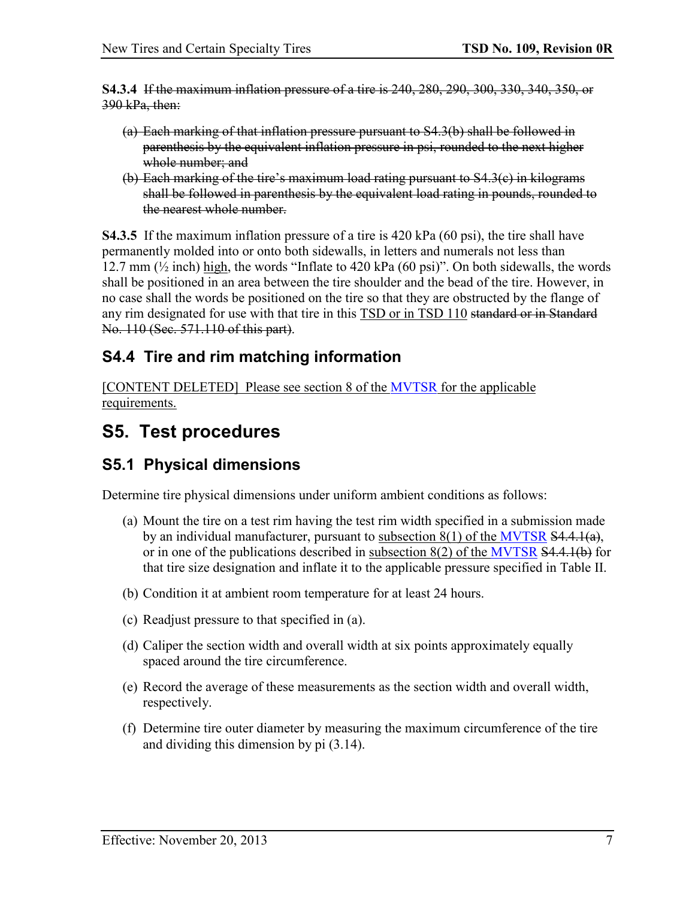**S4.3.4** If the maximum inflation pressure of a tire is 240, 280, 290, 300, 330, 340, 350, or 390 kPa, then:

- (a) Each marking of that inflation pressure pursuant to S4.3(b) shall be followed in parenthesis by the equivalent inflation pressure in psi, rounded to the next higher whole number; and
- (b) Each marking of the tire's maximum load rating pursuant to S4.3(c) in kilograms shall be followed in parenthesis by the equivalent load rating in pounds, rounded to the nearest whole number.

**S4.3.5** If the maximum inflation pressure of a tire is 420 kPa (60 psi), the tire shall have permanently molded into or onto both sidewalls, in letters and numerals not less than 12.7 mm  $(\frac{1}{2}$  inch) high, the words "Inflate to 420 kPa (60 psi)". On both sidewalls, the words shall be positioned in an area between the tire shoulder and the bead of the tire. However, in no case shall the words be positioned on the tire so that they are obstructed by the flange of any rim designated for use with that tire in this TSD or in TSD 110 standard or in Standard No. 110 (Sec. 571.110 of this part).

### <span id="page-11-0"></span>**S4.4 Tire and rim matching information**

[CONTENT DELETED] Please see section 8 of the [MVTSR](http://laws.justice.gc.ca/eng/regulations/SOR-2013-198/) for the applicable requirements.

## <span id="page-11-1"></span>**S5. Test procedures**

### <span id="page-11-2"></span>**S5.1 Physical dimensions**

Determine tire physical dimensions under uniform ambient conditions as follows:

- (a) Mount the tire on a test rim having the test rim width specified in a submission made by an individual manufacturer, pursuant to subsection  $8(1)$  of the [MVTSR](http://laws.justice.gc.ca/eng/regulations/SOR-2013-198/)  $\overline{S4.4.1(a)}$ , or in one of the publications described in subsection 8(2) of the [MVTSR](http://laws.justice.gc.ca/eng/regulations/SOR-2013-198/) S4.4.1(b) for that tire size designation and inflate it to the applicable pressure specified in Table II.
- (b) Condition it at ambient room temperature for at least 24 hours.
- (c) Readjust pressure to that specified in (a).
- (d) Caliper the section width and overall width at six points approximately equally spaced around the tire circumference.
- (e) Record the average of these measurements as the section width and overall width, respectively.
- (f) Determine tire outer diameter by measuring the maximum circumference of the tire and dividing this dimension by pi (3.14).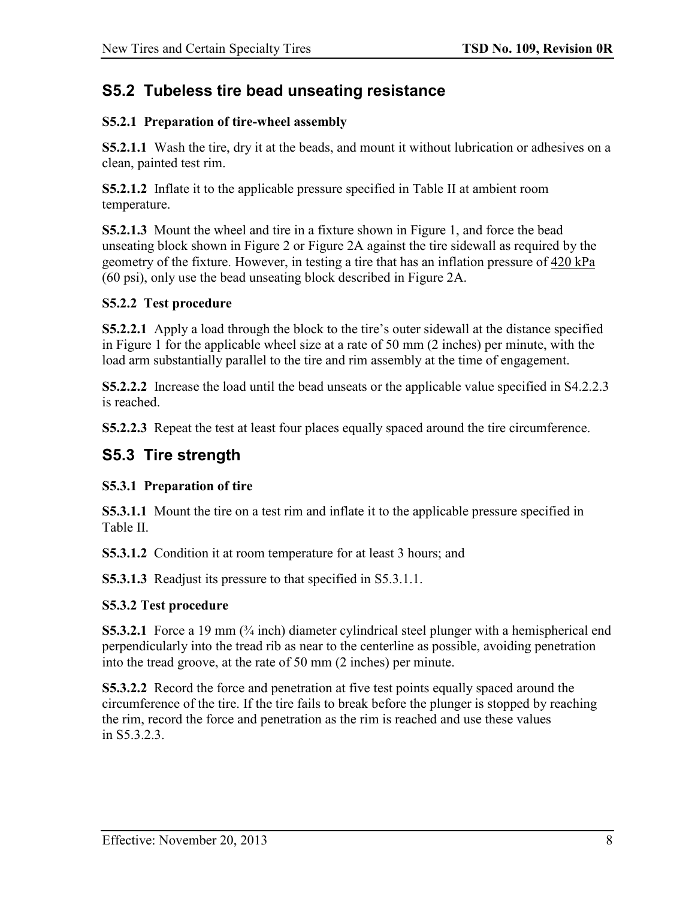### <span id="page-12-0"></span>**S5.2 Tubeless tire bead unseating resistance**

### **S5.2.1 Preparation of tire-wheel assembly**

**S5.2.1.1** Wash the tire, dry it at the beads, and mount it without lubrication or adhesives on a clean, painted test rim.

**S5.2.1.2** Inflate it to the applicable pressure specified in Table II at ambient room temperature.

**S5.2.1.3** Mount the wheel and tire in a fixture shown in Figure 1, and force the bead unseating block shown in Figure 2 or Figure 2A against the tire sidewall as required by the geometry of the fixture. However, in testing a tire that has an inflation pressure of 420 kPa (60 psi), only use the bead unseating block described in Figure 2A.

### **S5.2.2 Test procedure**

**S5.2.2.1** Apply a load through the block to the tire's outer sidewall at the distance specified in Figure 1 for the applicable wheel size at a rate of 50 mm (2 inches) per minute, with the load arm substantially parallel to the tire and rim assembly at the time of engagement.

**S5.2.2.2** Increase the load until the bead unseats or the applicable value specified in S4.2.2.3 is reached.

**S5.2.2.3** Repeat the test at least four places equally spaced around the tire circumference.

## <span id="page-12-1"></span>**S5.3 Tire strength**

### **S5.3.1 Preparation of tire**

**S5.3.1.1** Mount the tire on a test rim and inflate it to the applicable pressure specified in Table II.

**S5.3.1.2** Condition it at room temperature for at least 3 hours; and

**S5.3.1.3** Readjust its pressure to that specified in S5.3.1.1.

### **S5.3.2 Test procedure**

**S5.3.2.1** Force a 19 mm ( $\frac{3}{4}$  inch) diameter cylindrical steel plunger with a hemispherical end perpendicularly into the tread rib as near to the centerline as possible, avoiding penetration into the tread groove, at the rate of 50 mm (2 inches) per minute.

**S5.3.2.2** Record the force and penetration at five test points equally spaced around the circumference of the tire. If the tire fails to break before the plunger is stopped by reaching the rim, record the force and penetration as the rim is reached and use these values in S<sub>5</sub>3.2.3.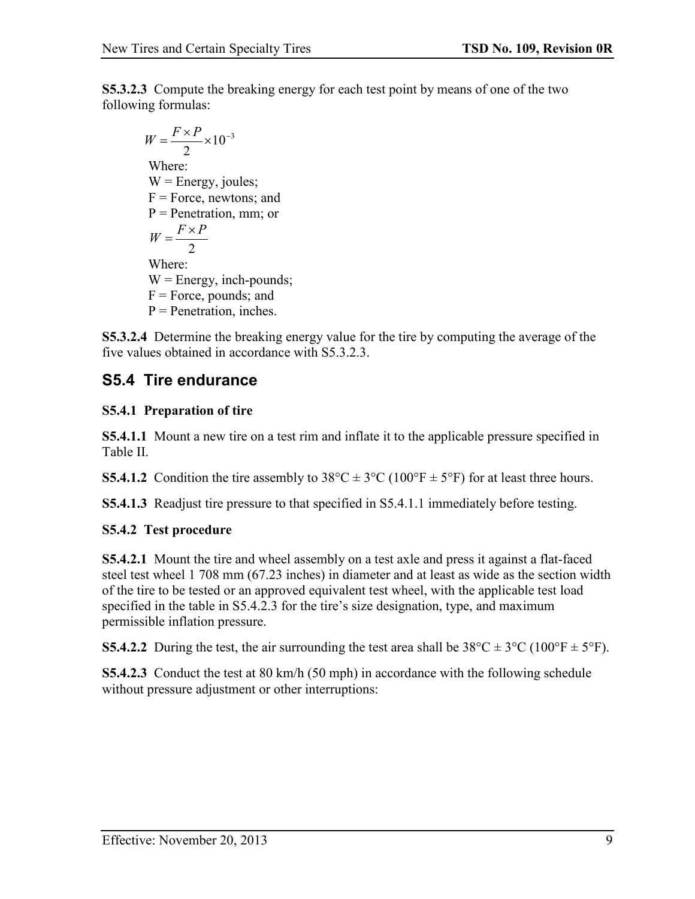**S5.3.2.3** Compute the breaking energy for each test point by means of one of the two following formulas:

$$
W = \frac{F \times P}{2} \times 10^{-3}
$$
  
Where:  
W = Energy, joules;  
F = Force, newtons; and  
P = Penetration, mm; or  

$$
W = \frac{F \times P}{2}
$$
  
Where:  
W = Energy, inch-pounds;  
F = Force, pounds; and  
P = Penetration, inches.

**S5.3.2.4** Determine the breaking energy value for the tire by computing the average of the five values obtained in accordance with S5.3.2.3.

## <span id="page-13-0"></span>**S5.4 Tire endurance**

### **S5.4.1 Preparation of tire**

**S5.4.1.1** Mount a new tire on a test rim and inflate it to the applicable pressure specified in Table II.

**S5.4.1.2** Condition the tire assembly to  $38^{\circ}C \pm 3^{\circ}C$  (100°F  $\pm$  5°F) for at least three hours.

**S5.4.1.3** Readjust tire pressure to that specified in S5.4.1.1 immediately before testing.

### **S5.4.2 Test procedure**

**S5.4.2.1** Mount the tire and wheel assembly on a test axle and press it against a flat-faced steel test wheel 1 708 mm (67.23 inches) in diameter and at least as wide as the section width of the tire to be tested or an approved equivalent test wheel, with the applicable test load specified in the table in S5.4.2.3 for the tire's size designation, type, and maximum permissible inflation pressure.

**S5.4.2.2** During the test, the air surrounding the test area shall be  $38^{\circ}C \pm 3^{\circ}C$  (100°F  $\pm$  5°F).

**S5.4.2.3** Conduct the test at 80 km/h (50 mph) in accordance with the following schedule without pressure adjustment or other interruptions: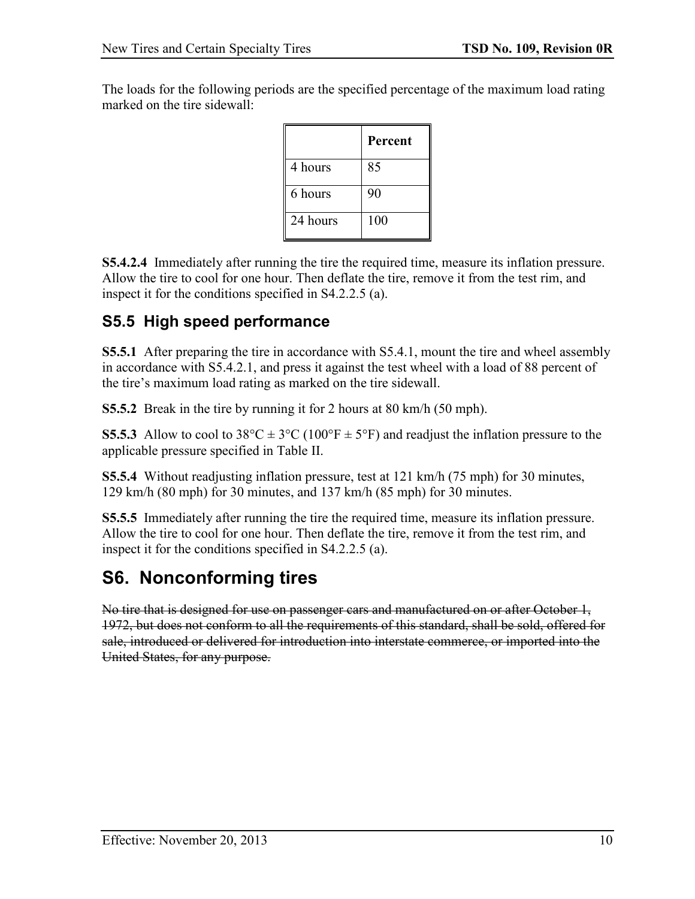The loads for the following periods are the specified percentage of the maximum load rating marked on the tire sidewall:

|          | <b>Percent</b> |
|----------|----------------|
| 4 hours  | 85             |
| 6 hours  | 90             |
| 24 hours | 100            |

**S5.4.2.4** Immediately after running the tire the required time, measure its inflation pressure. Allow the tire to cool for one hour. Then deflate the tire, remove it from the test rim, and inspect it for the conditions specified in S4.2.2.5 (a).

## <span id="page-14-0"></span>**S5.5 High speed performance**

**S5.5.1** After preparing the tire in accordance with S5.4.1, mount the tire and wheel assembly in accordance with S5.4.2.1, and press it against the test wheel with a load of 88 percent of the tire's maximum load rating as marked on the tire sidewall.

**S5.5.2** Break in the tire by running it for 2 hours at 80 km/h (50 mph).

**S5.5.3** Allow to cool to  $38^{\circ}\text{C} \pm 3^{\circ}\text{C}$  (100°F  $\pm$  5°F) and readjust the inflation pressure to the applicable pressure specified in Table II.

**S5.5.4** Without readjusting inflation pressure, test at 121 km/h (75 mph) for 30 minutes, 129 km/h (80 mph) for 30 minutes, and 137 km/h (85 mph) for 30 minutes.

**S5.5.5** Immediately after running the tire the required time, measure its inflation pressure. Allow the tire to cool for one hour. Then deflate the tire, remove it from the test rim, and inspect it for the conditions specified in S4.2.2.5 (a).

## <span id="page-14-1"></span>**S6. Nonconforming tires**

No tire that is designed for use on passenger cars and manufactured on or after October 1, 1972, but does not conform to all the requirements of this standard, shall be sold, offered for sale, introduced or delivered for introduction into interstate commerce, or imported into the United States, for any purpose.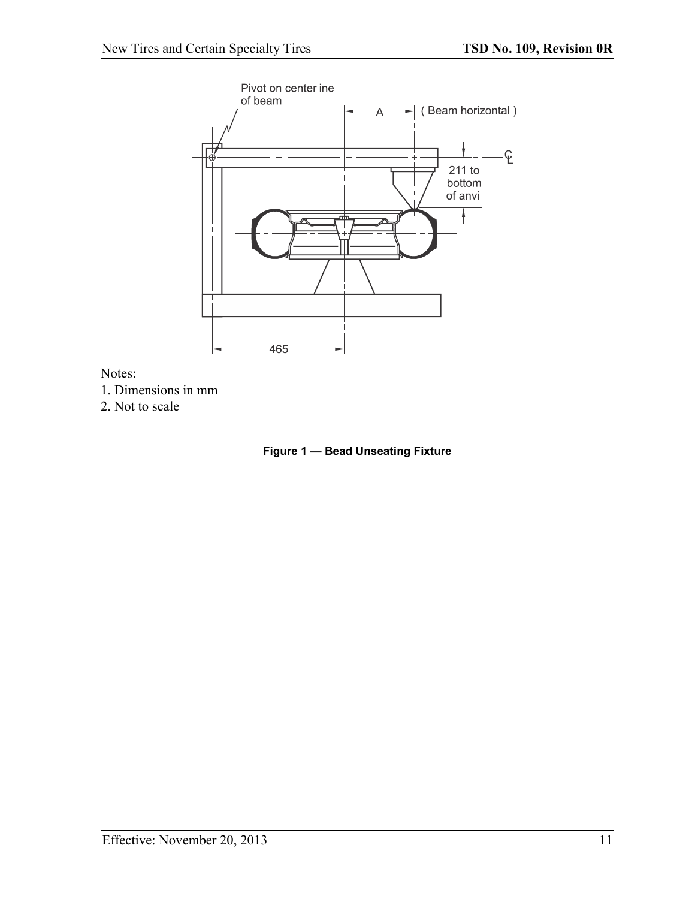<span id="page-15-0"></span>

Notes:

- 1. Dimensions in mm
- 2. Not to scale

**Figure 1 — Bead Unseating Fixture**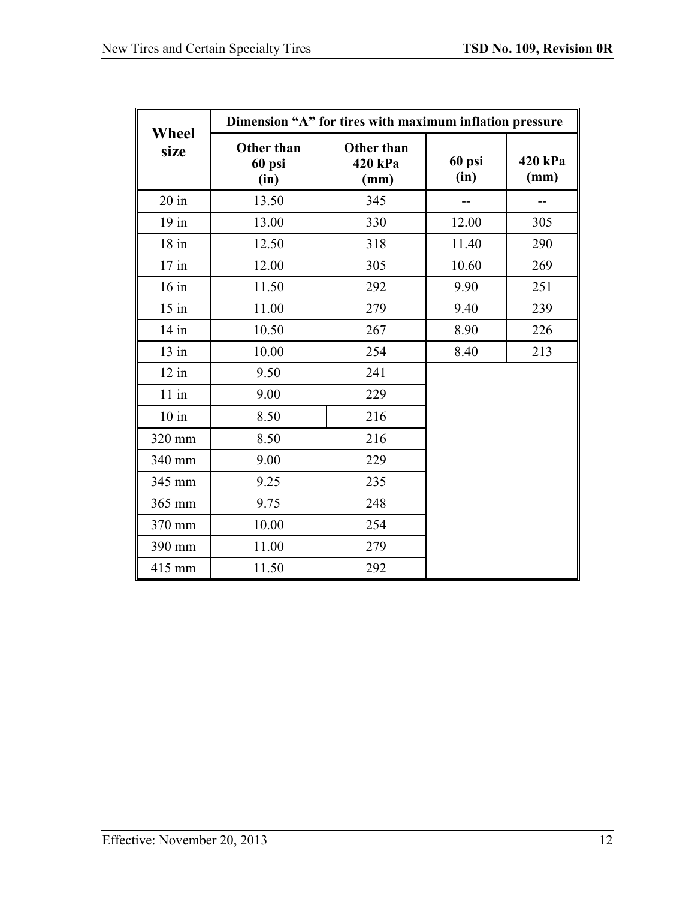| Wheel   | Dimension "A" for tires with maximum inflation pressure |                               |                |                 |  |  |
|---------|---------------------------------------------------------|-------------------------------|----------------|-----------------|--|--|
| size    | <b>Other than</b><br>60 psi<br>(in)                     | Other than<br>420 kPa<br>(mm) | 60 psi<br>(in) | 420 kPa<br>(mm) |  |  |
| $20$ in | 13.50                                                   | 345                           |                | --              |  |  |
| $19$ in | 13.00                                                   | 330                           | 12.00          | 305             |  |  |
| $18$ in | 12.50                                                   | 318                           | 11.40          | 290             |  |  |
| $17$ in | 12.00                                                   | 305                           | 10.60          | 269             |  |  |
| $16$ in | 11.50                                                   | 292                           | 9.90           | 251             |  |  |
| $15$ in | 11.00                                                   | 279                           | 9.40           | 239             |  |  |
| $14$ in | 10.50                                                   | 267                           | 8.90           | 226             |  |  |
| $13$ in | 10.00                                                   | 254                           | 8.40           | 213             |  |  |
| $12$ in | 9.50                                                    | 241                           |                |                 |  |  |
| $11$ in | 9.00                                                    | 229                           |                |                 |  |  |
| $10$ in | 8.50                                                    | 216                           |                |                 |  |  |
| 320 mm  | 8.50                                                    | 216                           |                |                 |  |  |
| 340 mm  | 9.00                                                    | 229                           |                |                 |  |  |
| 345 mm  | 9.25                                                    | 235                           |                |                 |  |  |
| 365 mm  | 9.75                                                    | 248                           |                |                 |  |  |
| 370 mm  | 10.00                                                   | 254                           |                |                 |  |  |
| 390 mm  | 11.00                                                   | 279                           |                |                 |  |  |
| 415 mm  | 11.50                                                   | 292                           |                |                 |  |  |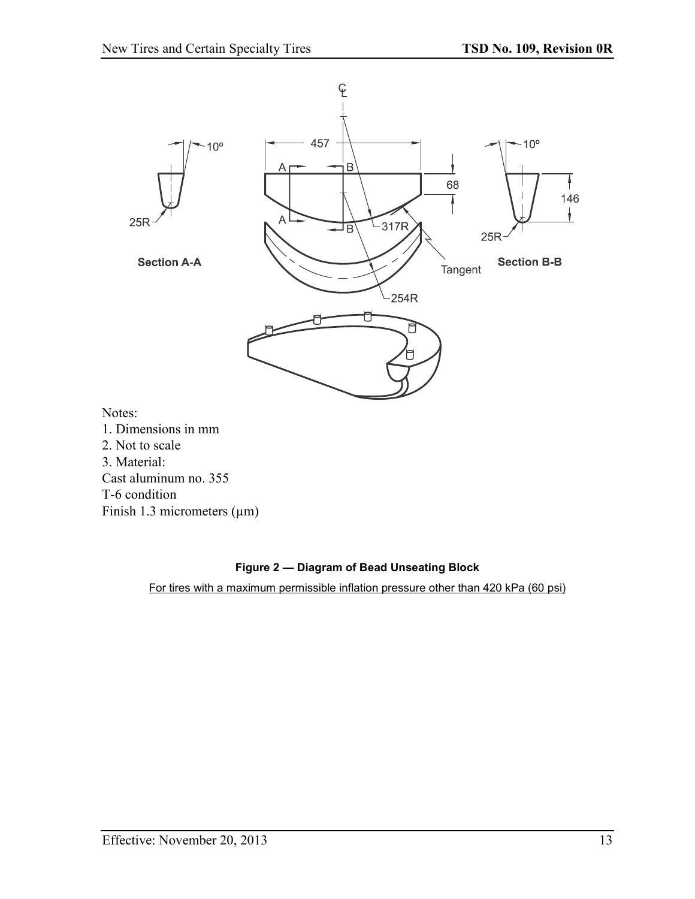<span id="page-17-0"></span>

#### **Figure 2 — Diagram of Bead Unseating Block**

For tires with a maximum permissible inflation pressure other than 420 kPa (60 psi)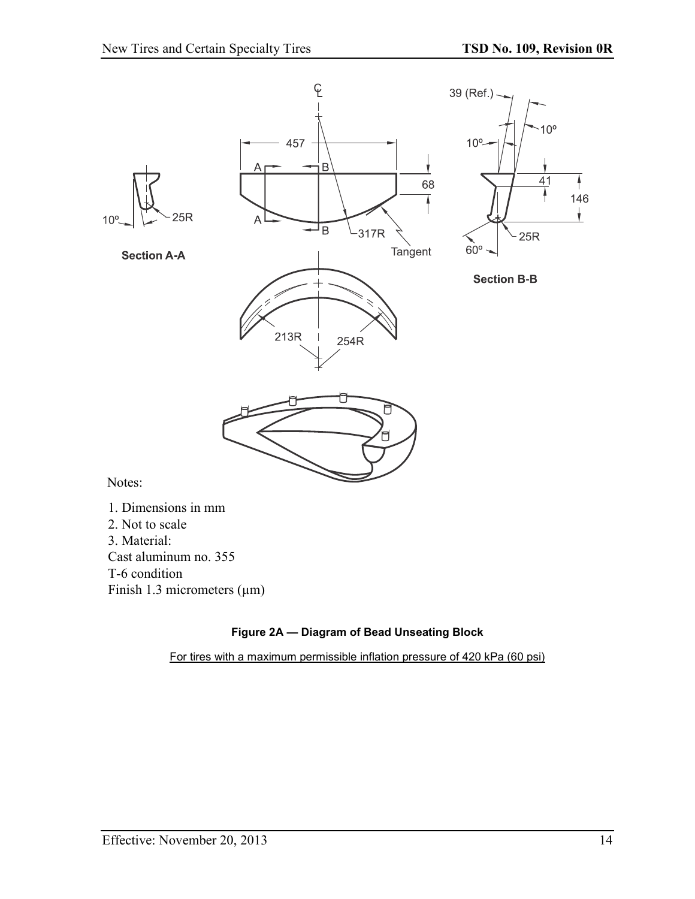<span id="page-18-0"></span>

#### **Figure 2A — Diagram of Bead Unseating Block**

For tires with a maximum permissible inflation pressure of 420 kPa (60 psi)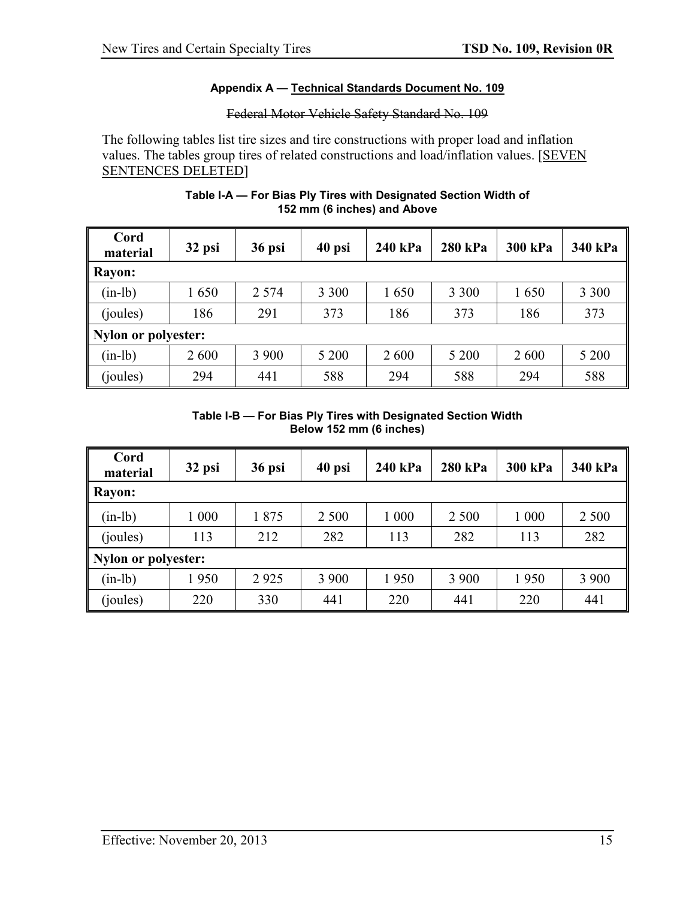#### **Appendix A — Technical Standards Document No. 109**

### Federal Motor Vehicle Safety Standard No. 109

<span id="page-19-0"></span>The following tables list tire sizes and tire constructions with proper load and inflation values. The tables group tires of related constructions and load/inflation values. [SEVEN SENTENCES DELETED]

<span id="page-19-1"></span>

| Cord<br>material           | 32 psi | 36 psi  | 40 psi  | 240 kPa | <b>280 kPa</b> | <b>300 kPa</b> | 340 kPa |
|----------------------------|--------|---------|---------|---------|----------------|----------------|---------|
| <b>Rayon:</b>              |        |         |         |         |                |                |         |
| $(in-lb)$                  | 1650   | 2 5 7 4 | 3 3 0 0 | 1650    | 3 3 0 0        | 1650           | 3 3 0 0 |
| (joules)                   | 186    | 291     | 373     | 186     | 373            | 186            | 373     |
| <b>Nylon or polyester:</b> |        |         |         |         |                |                |         |
| $(in-lb)$                  | 2600   | 3 9 0 0 | 5 200   | 2 600   | 5 200          | 2 600          | 5 200   |
| (joules)                   | 294    | 441     | 588     | 294     | 588            | 294            | 588     |

#### **Table I-A — For Bias Ply Tires with Designated Section Width of 152 mm (6 inches) and Above**

#### **Table I-B — For Bias Ply Tires with Designated Section Width Below 152 mm (6 inches)**

<span id="page-19-2"></span>

| Cord<br>material    | 32 psi | 36 psi | 40 psi  | 240 kPa | 280 kPa | <b>300 kPa</b> | 340 kPa |  |  |
|---------------------|--------|--------|---------|---------|---------|----------------|---------|--|--|
| <b>Rayon:</b>       |        |        |         |         |         |                |         |  |  |
| $(in-lb)$           | 1 000  | 1875   | 2 500   | 1 000   | 2 500   | 1 000          | 2 5 0 0 |  |  |
| (joules)            | 113    | 212    | 282     | 113     | 282     | 113            | 282     |  |  |
| Nylon or polyester: |        |        |         |         |         |                |         |  |  |
| $(in-lb)$           | 1950   | 2925   | 3 9 0 0 | 1950    | 3 9 0 0 | 1950           | 3 9 0 0 |  |  |
| (joules)            | 220    | 330    | 441     | 220     | 441     | 220            | 441     |  |  |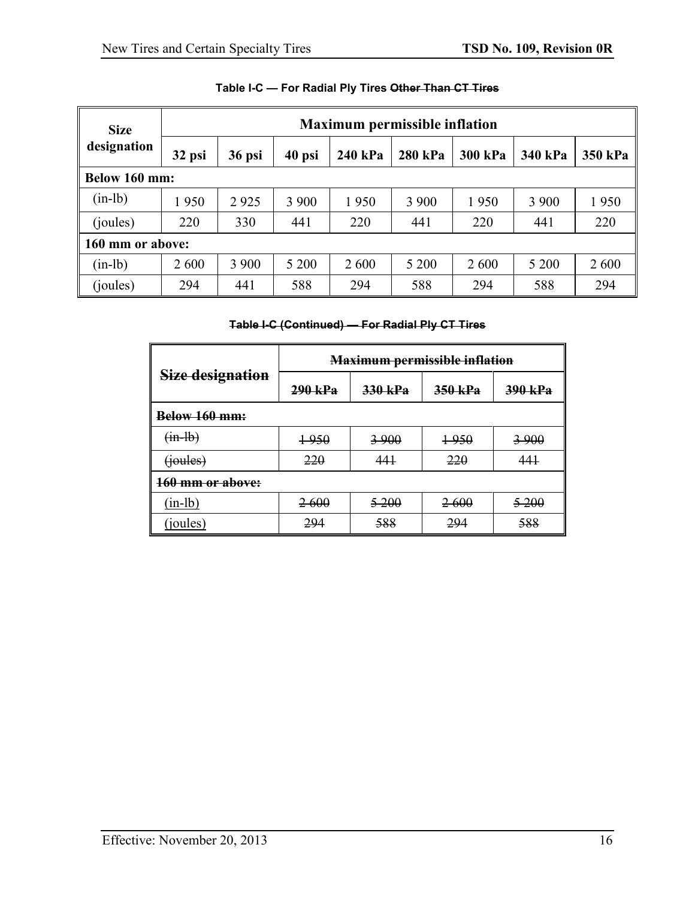<span id="page-20-0"></span>

| <b>Size</b>   |                  |        |         | <b>Maximum permissible inflation</b> |         |         |         |         |
|---------------|------------------|--------|---------|--------------------------------------|---------|---------|---------|---------|
| designation   | 32 psi           | 36 psi | 40 psi  | 240 kPa                              | 280 kPa | 300 kPa | 340 kPa | 350 kPa |
| Below 160 mm: |                  |        |         |                                      |         |         |         |         |
| $(in-lb)$     | 1950             | 2925   | 3 9 0 0 | 1950                                 | 3 9 0 0 | 1950    | 3 9 0 0 | 1950    |
| (joules)      | 220              | 330    | 441     | 220                                  | 441     | 220     | 441     | 220     |
|               | 160 mm or above: |        |         |                                      |         |         |         |         |
| $(in-lb)$     | 2600             | 3 900  | 5 200   | 2 600                                | 5 200   | 2 600   | 5 200   | 2 600   |
| (joules)      | 294              | 441    | 588     | 294                                  | 588     | 294     | 588     | 294     |

### **Table I-C — For Radial Ply Tires Other Than CT Tires**

### **Table I-C (Continued) — For Radial Ply CT Tires**

<span id="page-20-1"></span>

|                             | <b>Maximum permissible inflation</b> |         |                 |                  |  |  |  |
|-----------------------------|--------------------------------------|---------|-----------------|------------------|--|--|--|
| Size designation            | 290 kPa                              | 330 kPa | 350 kPa         | 390 kPa          |  |  |  |
| <u> Below 160 mm:</u>       |                                      |         |                 |                  |  |  |  |
| $(m-lb)$                    | 1-950                                | 3.900   | $+950$          | 3-900            |  |  |  |
| (joules)                    | 220                                  | 441     | 220             | 441              |  |  |  |
| <del>160 mm or above:</del> |                                      |         |                 |                  |  |  |  |
| $(in-lb)$                   | <del>2600</del>                      | $5-200$ | <del>2600</del> | <del>5 200</del> |  |  |  |
| (joules)                    | 294                                  | 588     | 294             | <del>588</del>   |  |  |  |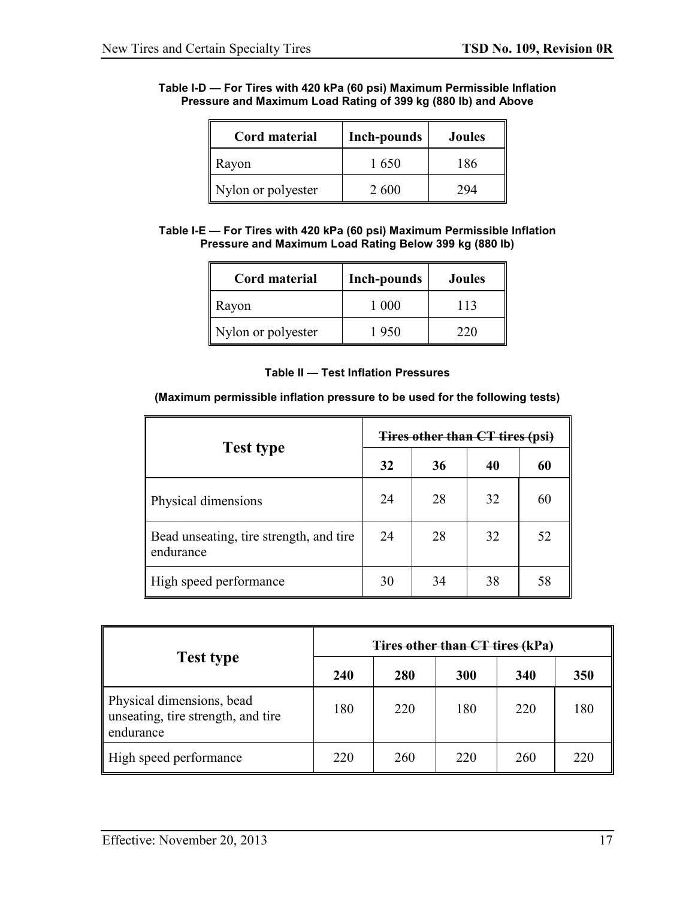#### <span id="page-21-0"></span>**Table I-D — For Tires with 420 kPa (60 psi) Maximum Permissible Inflation Pressure and Maximum Load Rating of 399 kg (880 lb) and Above**

| <b>Cord material</b> | <b>Inch-pounds</b> | <b>Joules</b> |
|----------------------|--------------------|---------------|
| Rayon                | 1650               | 186           |
| Nylon or polyester   | 2600               | 294           |

#### <span id="page-21-1"></span>**Table I-E — For Tires with 420 kPa (60 psi) Maximum Permissible Inflation Pressure and Maximum Load Rating Below 399 kg (880 lb)**

| Cord material      | <b>Inch-pounds</b> | <b>Joules</b> |
|--------------------|--------------------|---------------|
| Rayon              | 1 000              | 113           |
| Nylon or polyester | 1950               | 220           |

#### **Table II — Test Inflation Pressures**

#### <span id="page-21-2"></span>**(Maximum permissible inflation pressure to be used for the following tests)**

|                                                      | <b>Tires other than CT tires (psi)</b> |    |    |    |  |
|------------------------------------------------------|----------------------------------------|----|----|----|--|
| <b>Test type</b>                                     | 32                                     | 36 | 40 | 60 |  |
| Physical dimensions                                  | 24                                     | 28 | 32 | 60 |  |
| Bead unseating, tire strength, and tire<br>endurance | 24                                     | 28 | 32 | 52 |  |
| High speed performance                               | 30                                     | 34 | 38 | 58 |  |

| <b>Test type</b>                                                             | <b>Tires other than CT tires (kPa)</b> |     |     |     |     |  |
|------------------------------------------------------------------------------|----------------------------------------|-----|-----|-----|-----|--|
|                                                                              | 240                                    | 280 | 300 | 340 | 350 |  |
| Physical dimensions, bead<br>unseating, tire strength, and tire<br>endurance | 180                                    | 220 | 180 | 220 | 180 |  |
| High speed performance                                                       | 220                                    | 260 | 220 | 260 | 220 |  |